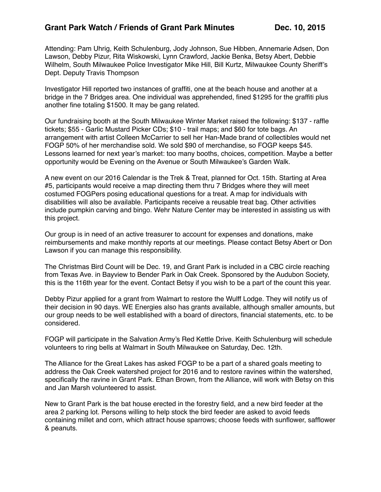## **Grant Park Watch / Friends of Grant Park Minutes Dec. 10, 2015**

Attending: Pam Uhrig, Keith Schulenburg, Jody Johnson, Sue Hibben, Annemarie Adsen, Don Lawson, Debby Pizur, Rita Wiskowski, Lynn Crawford, Jackie Benka, Betsy Abert, Debbie Wilhelm, South Milwaukee Police Investigator Mike Hill, Bill Kurtz, Milwaukee County Sheriff's Dept. Deputy Travis Thompson

Investigator Hill reported two instances of graffiti, one at the beach house and another at a bridge in the 7 Bridges area. One individual was apprehended, fined \$1295 for the graffiti plus another fine totaling \$1500. It may be gang related.

Our fundraising booth at the South Milwaukee Winter Market raised the following: \$137 - raffle tickets; \$55 - Garlic Mustard Picker CDs; \$10 - trail maps; and \$60 for tote bags. An arrangement with artist Colleen McCarrier to sell her Han-Made brand of collectibles would net FOGP 50% of her merchandise sold. We sold \$90 of merchandise, so FOGP keeps \$45. Lessons learned for next year's market: too many booths, choices, competition. Maybe a better opportunity would be Evening on the Avenue or South Milwaukee's Garden Walk.

A new event on our 2016 Calendar is the Trek & Treat, planned for Oct. 15th. Starting at Area #5, participants would receive a map directing them thru 7 Bridges where they will meet costumed FOGPers posing educational questions for a treat. A map for individuals with disabilities will also be available. Participants receive a reusable treat bag. Other activities include pumpkin carving and bingo. Wehr Nature Center may be interested in assisting us with this project.

Our group is in need of an active treasurer to account for expenses and donations, make reimbursements and make monthly reports at our meetings. Please contact Betsy Abert or Don Lawson if you can manage this responsibility.

The Christmas Bird Count will be Dec. 19, and Grant Park is included in a CBC circle reaching from Texas Ave. in Bayview to Bender Park in Oak Creek. Sponsored by the Audubon Society, this is the 116th year for the event. Contact Betsy if you wish to be a part of the count this year.

Debby Pizur applied for a grant from Walmart to restore the Wulff Lodge. They will notify us of their decision in 90 days. WE Energies also has grants available, although smaller amounts, but our group needs to be well established with a board of directors, financial statements, etc. to be considered.

FOGP will participate in the Salvation Army's Red Kettle Drive. Keith Schulenburg will schedule volunteers to ring bells at Walmart in South Milwaukee on Saturday, Dec. 12th.

The Alliance for the Great Lakes has asked FOGP to be a part of a shared goals meeting to address the Oak Creek watershed project for 2016 and to restore ravines within the watershed, specifically the ravine in Grant Park. Ethan Brown, from the Alliance, will work with Betsy on this and Jan Marsh volunteered to assist.

New to Grant Park is the bat house erected in the forestry field, and a new bird feeder at the area 2 parking lot. Persons willing to help stock the bird feeder are asked to avoid feeds containing millet and corn, which attract house sparrows; choose feeds with sunflower, safflower & peanuts.